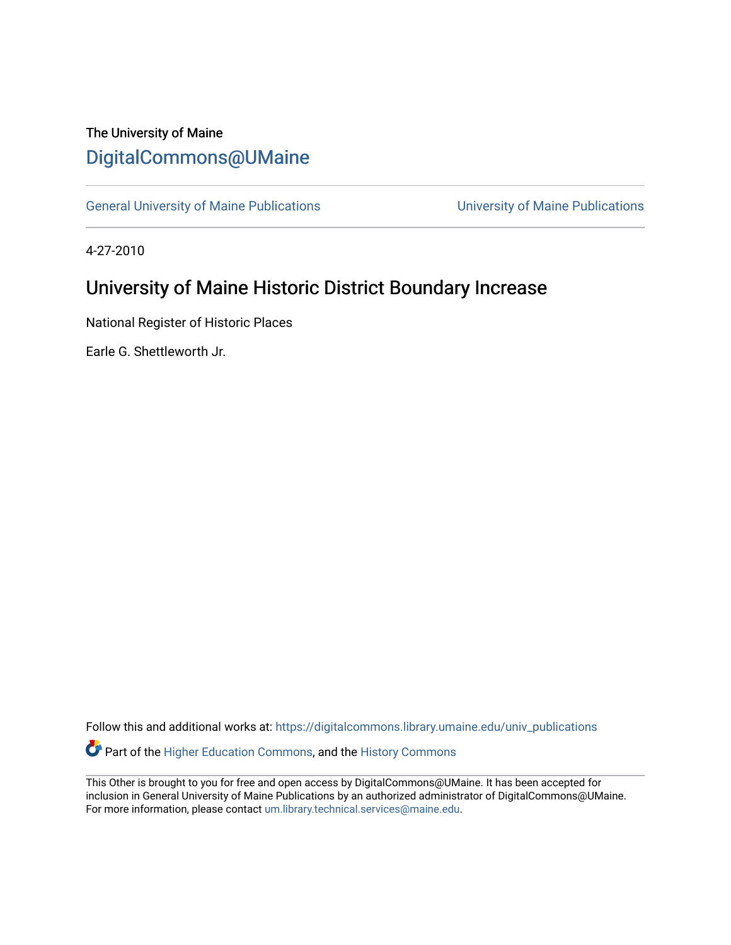## The University of Maine [DigitalCommons@UMaine](https://digitalcommons.library.umaine.edu/)

[General University of Maine Publications](https://digitalcommons.library.umaine.edu/univ_publications) [University of Maine Publications](https://digitalcommons.library.umaine.edu/umaine_publications) 

4-27-2010

## University of Maine Historic District Boundary Increase

National Register of Historic Places

Earle G. Shettleworth Jr.

Follow this and additional works at: [https://digitalcommons.library.umaine.edu/univ\\_publications](https://digitalcommons.library.umaine.edu/univ_publications?utm_source=digitalcommons.library.umaine.edu%2Funiv_publications%2F1702&utm_medium=PDF&utm_campaign=PDFCoverPages)  Part of the [Higher Education Commons,](http://network.bepress.com/hgg/discipline/1245?utm_source=digitalcommons.library.umaine.edu%2Funiv_publications%2F1702&utm_medium=PDF&utm_campaign=PDFCoverPages) and the [History Commons](http://network.bepress.com/hgg/discipline/489?utm_source=digitalcommons.library.umaine.edu%2Funiv_publications%2F1702&utm_medium=PDF&utm_campaign=PDFCoverPages)

This Other is brought to you for free and open access by DigitalCommons@UMaine. It has been accepted for inclusion in General University of Maine Publications by an authorized administrator of DigitalCommons@UMaine. For more information, please contact [um.library.technical.services@maine.edu](mailto:um.library.technical.services@maine.edu).